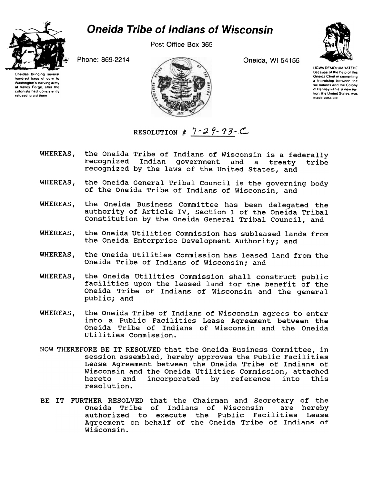## **Oneida Tribe of Indians of Wisconsin**



hundred bags of corn to

Washington's starving army

at Valley Forge, after the

colonists had consistently

refused to aid them

Post Office Box 365

Oneida, WI 54155



**UGWA DEMOLUM YATEHE** Because of the help of this Oneida Chief in cementing a triendship between the six nations and the Colony of Pennsylvania, a new nation, the United States, was made possible

Phone: 869-2214



- RESOLUTION #  $7 29 93 C$
- WHEREAS, the Oneida Tribe of Indians of Wisconsin is a federally recognized Indian government and a treaty tribe recognized by the laws of the United States, and
- the Oneida General Tribal Council is the governing body WHEREAS, of the Oneida Tribe of Indians of Wisconsin, and
- WHEREAS. the Oneida Business Committee has been delegated the authority of Article IV, Section 1 of the Oneida Tribal Constitution by the Oneida General Tribal Council, and
- WHEREAS, the Oneida Utilities Commission has subleased lands from the Oneida Enterprise Development Authority; and
- the Oneida Utilities Commission has leased land from the WHEREAS, Oneida Tribe of Indians of Wisconsin; and
- the Oneida Utilities Commission shall construct public WHEREAS, facilities upon the leased land for the benefit of the Oneida Tribe of Indians of Wisconsin and the general public; and
- WHEREAS, the Oneida Tribe of Indians of Wisconsin agrees to enter into a Public Facilities Lease Agreement between the Oneida Tribe of Indians of Wisconsin and the Oneida Utilities Commission.
- NOW THEREFORE BE IT RESOLVED that the Oneida Business Committee, in session assembled, hereby approves the Public Facilities Lease Agreement between the Oneida Tribe of Indians of Wisconsin and the Oneida Utilities Commission, attached hereto incorporated by reference into and this resolution.
- BE IT FURTHER RESOLVED that the Chairman and Secretary of the Oneida Tribe of Indians of Wisconsin are hereby authorized to execute the Public Facilities Lease Agreement on behalf of the Oneida Tribe of Indians of Wisconsin.